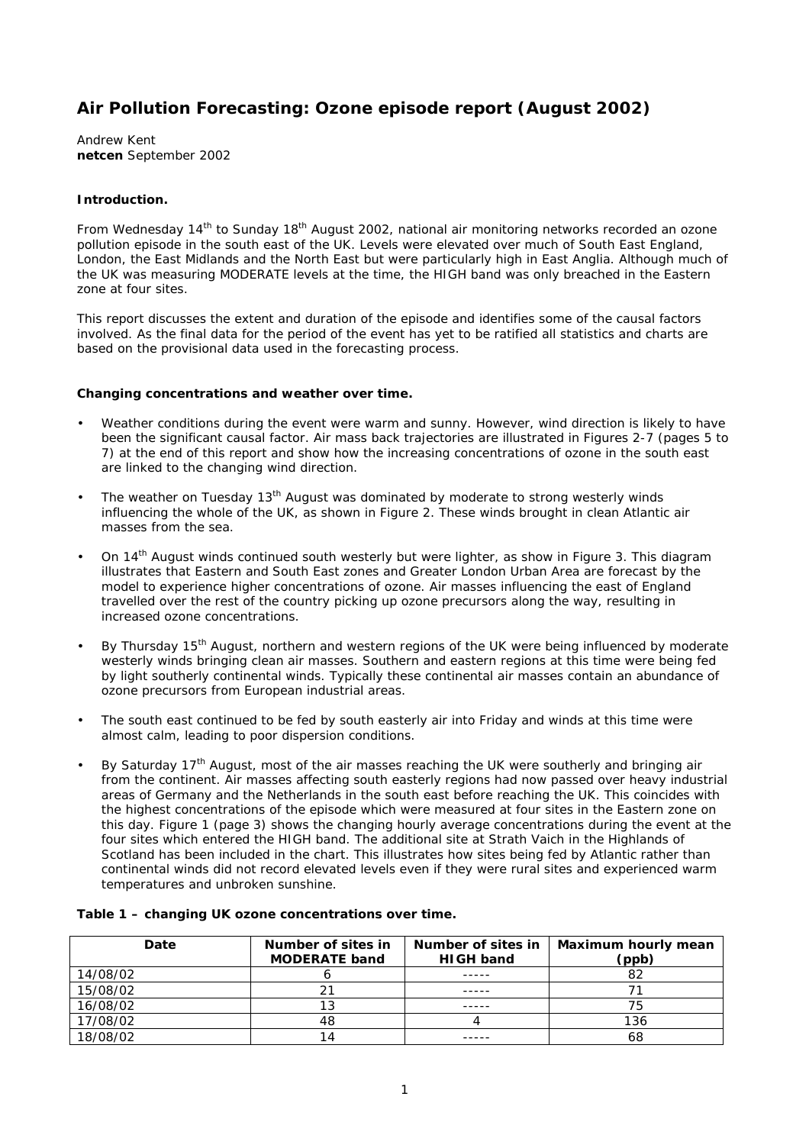# **Air Pollution Forecasting: Ozone episode report (August 2002)**

Andrew Kent **netcen** September 2002

### **Introduction.**

From Wednesday 14<sup>th</sup> to Sunday 18<sup>th</sup> August 2002, national air monitoring networks recorded an ozone pollution episode in the south east of the UK. Levels were elevated over much of South East England, London, the East Midlands and the North East but were particularly high in East Anglia. Although much of the UK was measuring MODERATE levels at the time, the HIGH band was only breached in the Eastern zone at four sites.

This report discusses the extent and duration of the episode and identifies some of the causal factors involved. As the final data for the period of the event has yet to be ratified all statistics and charts are based on the provisional data used in the forecasting process.

#### **Changing concentrations and weather over time.**

- Weather conditions during the event were warm and sunny. However, wind direction is likely to have been the significant causal factor. Air mass back trajectories are illustrated in Figures 2-7 (pages 5 to 7) at the end of this report and show how the increasing concentrations of ozone in the south east are linked to the changing wind direction.
- The weather on Tuesday 13<sup>th</sup> August was dominated by moderate to strong westerly winds influencing the whole of the UK, as shown in Figure 2. These winds brought in clean Atlantic air masses from the sea.
- On 14<sup>th</sup> August winds continued south westerly but were lighter, as show in Figure 3. This diagram illustrates that Eastern and South East zones and Greater London Urban Area are forecast by the model to experience higher concentrations of ozone. Air masses influencing the east of England travelled over the rest of the country picking up ozone precursors along the way, resulting in increased ozone concentrations.
- By Thursday 15<sup>th</sup> August, northern and western regions of the UK were being influenced by moderate westerly winds bringing clean air masses. Southern and eastern regions at this time were being fed by light southerly continental winds. Typically these continental air masses contain an abundance of ozone precursors from European industrial areas.
- The south east continued to be fed by south easterly air into Friday and winds at this time were almost calm, leading to poor dispersion conditions.
- By Saturday 17<sup>th</sup> August, most of the air masses reaching the UK were southerly and bringing air from the continent. Air masses affecting south easterly regions had now passed over heavy industrial areas of Germany and the Netherlands in the south east before reaching the UK. This coincides with the highest concentrations of the episode which were measured at four sites in the Eastern zone on this day. Figure 1 (page 3) shows the changing hourly average concentrations during the event at the four sites which entered the HIGH band. The additional site at Strath Vaich in the Highlands of Scotland has been included in the chart. This illustrates how sites being fed by Atlantic rather than continental winds did not record elevated levels even if they were rural sites and experienced warm temperatures and unbroken sunshine.

| Date     | Number of sites in<br><b>MODERATE band</b> | Number of sites in<br><b>HIGH band</b> | <b>Maximum hourly mean</b><br>(ppb) |
|----------|--------------------------------------------|----------------------------------------|-------------------------------------|
| 14/08/02 |                                            |                                        | 82                                  |
| 15/08/02 |                                            |                                        |                                     |
| 16/08/02 |                                            |                                        | 75                                  |
| 17/08/02 | 48                                         |                                        | 136                                 |
| 18/08/02 | 14                                         |                                        | 68                                  |

### **Table 1 – changing UK ozone concentrations over time.**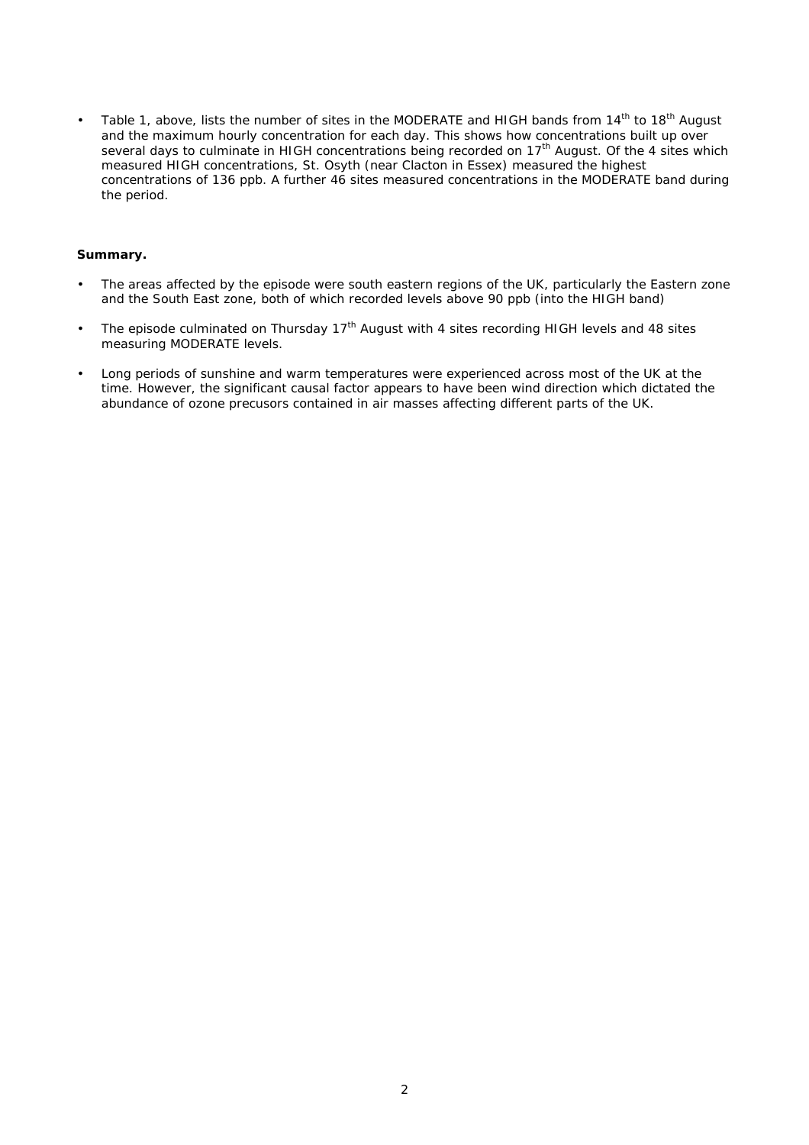Table 1, above, lists the number of sites in the MODERATE and HIGH bands from 14<sup>th</sup> to 18<sup>th</sup> August and the maximum hourly concentration for each day. This shows how concentrations built up over several days to culminate in HIGH concentrations being recorded on 17<sup>th</sup> August. Of the 4 sites which measured HIGH concentrations, St. Osyth (near Clacton in Essex) measured the highest concentrations of 136 ppb. A further 46 sites measured concentrations in the MODERATE band during the period.

#### **Summary.**

- The areas affected by the episode were south eastern regions of the UK, particularly the Eastern zone and the South East zone, both of which recorded levels above 90 ppb (into the HIGH band)
- The episode culminated on Thursday  $17<sup>th</sup>$  August with 4 sites recording HIGH levels and 48 sites measuring MODERATE levels.
- Long periods of sunshine and warm temperatures were experienced across most of the UK at the time. However, the significant causal factor appears to have been wind direction which dictated the abundance of ozone precusors contained in air masses affecting different parts of the UK.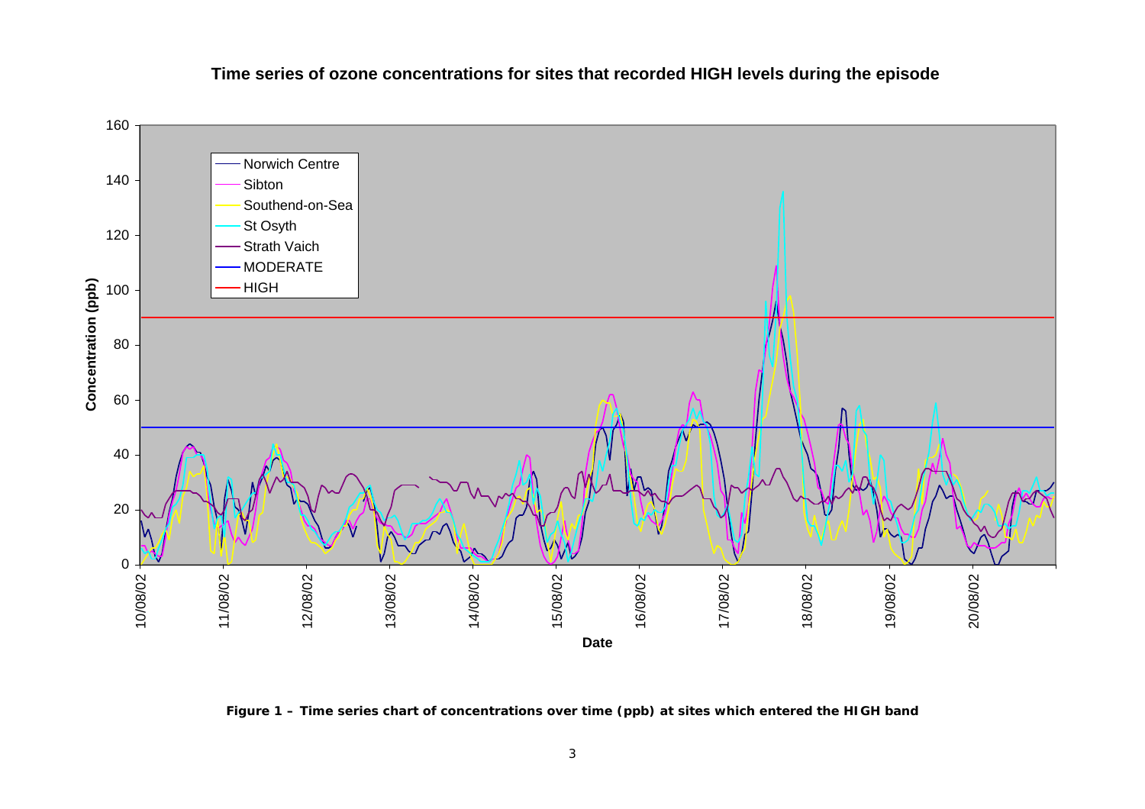

## **Time series of ozone concentrations for sites that recorded HIGH levels during the episode**

**Figure 1 – Time series chart of concentrations over time (ppb) at sites which entered the HIGH band**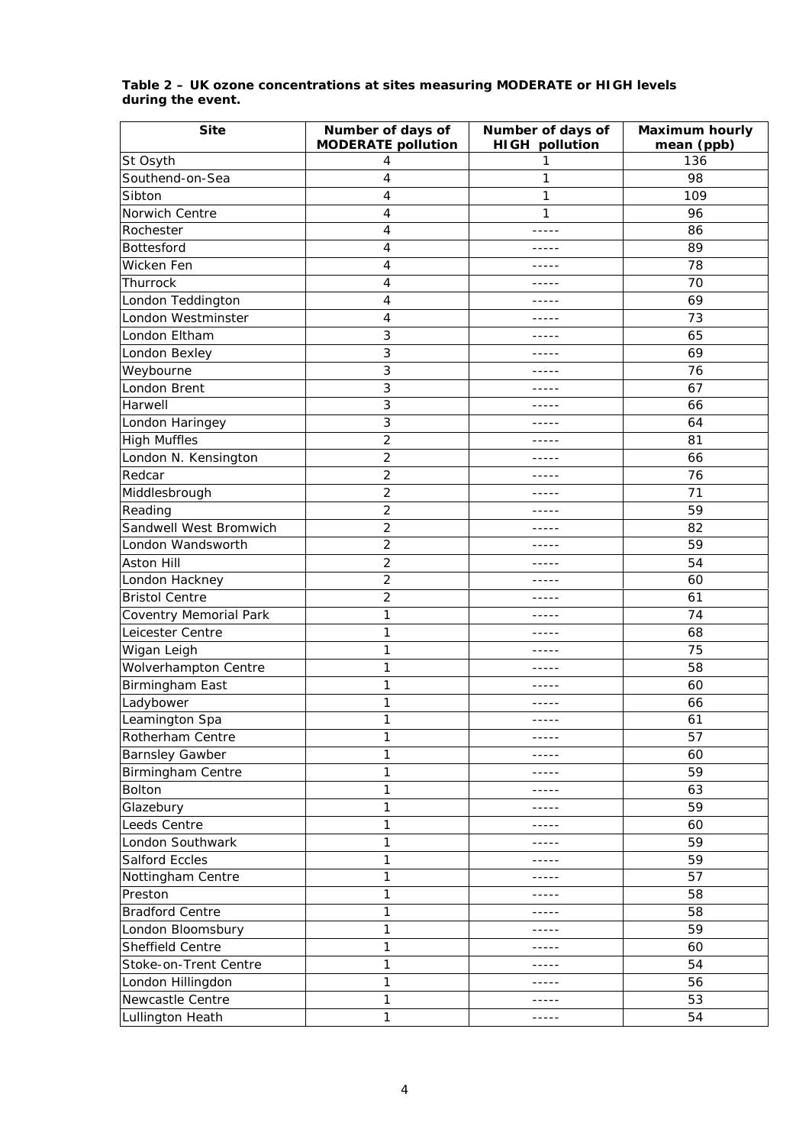| <b>Site</b>                   | Number of days of         | Number of days of     | <b>Maximum hourly</b> |
|-------------------------------|---------------------------|-----------------------|-----------------------|
|                               | <b>MODERATE pollution</b> | <b>HIGH pollution</b> | mean (ppb)            |
| St Osyth                      | 4                         | 1                     | 136                   |
| Southend-on-Sea               | 4                         | 1                     | 98                    |
| Sibton                        | 4                         | 1                     | 109                   |
| Norwich Centre                | $\overline{4}$            | 1                     | 96                    |
| Rochester                     | $\overline{4}$            | -----                 | 86                    |
| Bottesford                    | $\overline{4}$            | $- - - - -$           | 89                    |
| Wicken Fen                    | 4                         |                       | 78                    |
| Thurrock                      | 4                         | -----                 | 70                    |
| London Teddington             | $\overline{4}$            | -----                 | 69                    |
| London Westminster            | $\overline{4}$            | -----                 | 73                    |
| London Eltham                 | 3                         | -----                 | 65                    |
| London Bexley                 | 3                         | -----                 | 69                    |
| Weybourne                     | 3                         | -----                 | 76                    |
| London Brent                  | 3                         | -----                 | 67                    |
| Harwell                       | 3                         | -----                 | 66                    |
| London Haringey               | 3                         |                       | 64                    |
| <b>High Muffles</b>           | $\overline{2}$            | -----                 | 81                    |
| London N. Kensington          | $\overline{2}$            |                       | 66                    |
| Redcar                        | $\overline{c}$            | -----                 | 76                    |
| Middlesbrough                 | $\overline{2}$            | -----                 | 71                    |
| Reading                       | $\overline{2}$            | -----                 | 59                    |
| Sandwell West Bromwich        | $\overline{c}$            | -----                 | 82                    |
| London Wandsworth             | $\overline{2}$            | -----                 | 59                    |
| <b>Aston Hill</b>             | $\overline{2}$            | -----                 | 54                    |
| London Hackney                | $\overline{c}$            | -----                 | 60                    |
| <b>Bristol Centre</b>         | $\overline{2}$            | -----                 | 61                    |
| <b>Coventry Memorial Park</b> | $\mathbf{1}$              | -----                 | 74                    |
| Leicester Centre              | 1                         |                       | 68                    |
| Wigan Leigh                   | 1                         | -----                 | 75                    |
| Wolverhampton Centre          | 1                         | -----                 | 58                    |
| Birmingham East               | 1                         |                       | 60                    |
| Ladybower                     | $\mathbf{1}$              |                       | 66                    |
| Leamington Spa                | $\mathbf{1}$              | -----                 | 61                    |
| Rotherham Centre              | 1                         | -----                 | 57                    |
| <b>Barnsley Gawber</b>        | 1                         | -----                 | 60                    |
| <b>Birmingham Centre</b>      | 1                         | -----                 | 59                    |
| Bolton                        | $\mathbf{1}$              | -----                 | 63                    |
| Glazebury                     | 1                         | -----                 | 59                    |
| Leeds Centre                  | $\mathbf{1}$              | -----                 | 60                    |
| London Southwark              | $\mathbf{1}$              | -----                 | 59                    |
| <b>Salford Eccles</b>         | $\mathbf{1}$              | -----                 | 59                    |
| Nottingham Centre             | 1                         | -----                 | 57                    |
| Preston                       | 1                         | -----                 | 58                    |
| <b>Bradford Centre</b>        | $\mathbf{1}$              | -----                 | 58                    |
| London Bloomsbury             | 1                         | -----                 | 59                    |
| Sheffield Centre              | $\mathbf{1}$              |                       | 60                    |
| Stoke-on-Trent Centre         | $\mathbf{1}$              | -----                 | 54                    |
| London Hillingdon             | $\mathbf{1}$              | -----                 | 56                    |
| Newcastle Centre              | $\mathbf{1}$              | -----                 | 53                    |
| Lullington Heath              | 1                         | -----                 | 54                    |

### **Table 2 – UK ozone concentrations at sites measuring MODERATE or HIGH levels during the event.**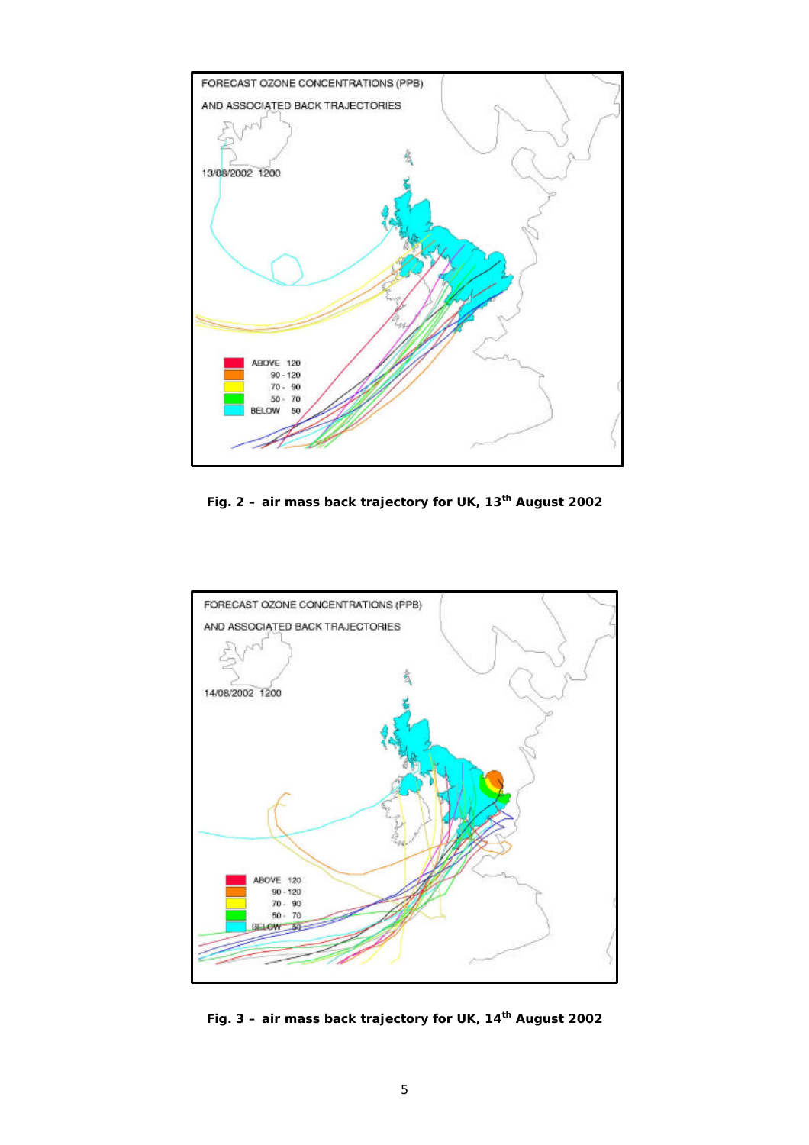

**Fig. 2 – air mass back trajectory for UK, 13th August 2002**



**Fig. 3 – air mass back trajectory for UK, 14th August 2002**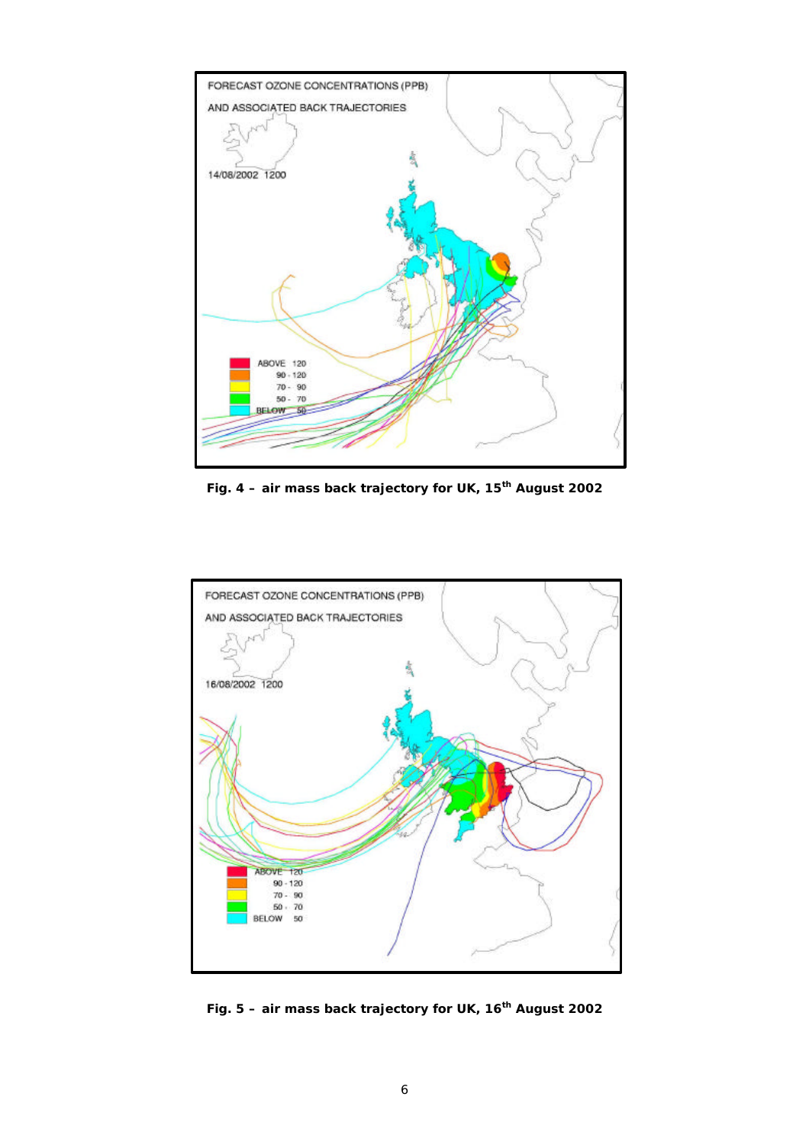

**Fig. 4 – air mass back trajectory for UK, 15th August 2002**



**Fig. 5 – air mass back trajectory for UK, 16th August 2002**